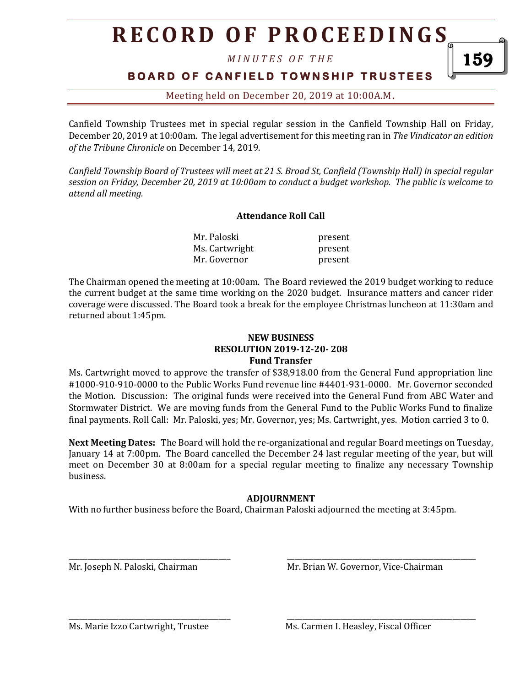# **R E C O R D O F P R O C E E D I N GS**

*M I N U T E S O F T H E* 

### **B O A R D O F C A N F I E L D T O W N S H I P T R U S T E E S**

Meeting held on December 20, 2019 at 10:00A.M**.**

Canfield Township Trustees met in special regular session in the Canfield Township Hall on Friday, December 20, 2019 at 10:00am. The legal advertisement for this meeting ran in *The Vindicator an edition of the Tribune Chronicle* on December 14, 2019.

*Canfield Township Board of Trustees will meet at 21 S. Broad St, Canfield (Township Hall) in special regular session on Friday, December 20, 2019 at 10:00am to conduct a budget workshop. The public is welcome to attend all meeting.*

#### **Attendance Roll Call**

Mr. Paloski present Ms. Cartwright present Mr. Governor **present** 

The Chairman opened the meeting at 10:00am. The Board reviewed the 2019 budget working to reduce the current budget at the same time working on the 2020 budget. Insurance matters and cancer rider coverage were discussed. The Board took a break for the employee Christmas luncheon at 11:30am and returned about 1:45pm.

#### **NEW BUSINESS RESOLUTION 2019-12-20- 208 Fund Transfer**

Ms. Cartwright moved to approve the transfer of \$38,918.00 from the General Fund appropriation line #1000-910-910-0000 to the Public Works Fund revenue line #4401-931-0000. Mr. Governor seconded the Motion. Discussion: The original funds were received into the General Fund from ABC Water and Stormwater District. We are moving funds from the General Fund to the Public Works Fund to finalize final payments. Roll Call: Mr. Paloski, yes; Mr. Governor, yes; Ms. Cartwright, yes. Motion carried 3 to 0.

**Next Meeting Dates:** The Board will hold the re-organizational and regular Board meetings on Tuesday, January 14 at 7:00pm. The Board cancelled the December 24 last regular meeting of the year, but will meet on December 30 at 8:00am for a special regular meeting to finalize any necessary Township business.

#### **ADJOURNMENT**

 $\overline{\phantom{a}}$  , and the contract of the contract of the contract of the contract of the contract of the contract of the contract of the contract of the contract of the contract of the contract of the contract of the contrac

\_\_\_\_\_\_\_\_\_\_\_\_\_\_\_\_\_\_\_\_\_\_\_\_\_\_\_\_\_\_\_\_\_\_\_\_\_\_\_\_\_\_ \_\_\_\_\_\_\_\_\_\_\_\_\_\_\_\_\_\_\_\_\_\_\_\_\_\_\_\_\_\_\_\_\_\_\_\_\_\_\_\_\_\_\_\_\_\_\_\_\_

With no further business before the Board, Chairman Paloski adjourned the meeting at 3:45pm.

Mr. Joseph N. Paloski, Chairman Mr. Brian W. Governor, Vice-Chairman

Ms. Marie Izzo Cartwright, Trustee Ms. Carmen I. Heasley, Fiscal Officer

159